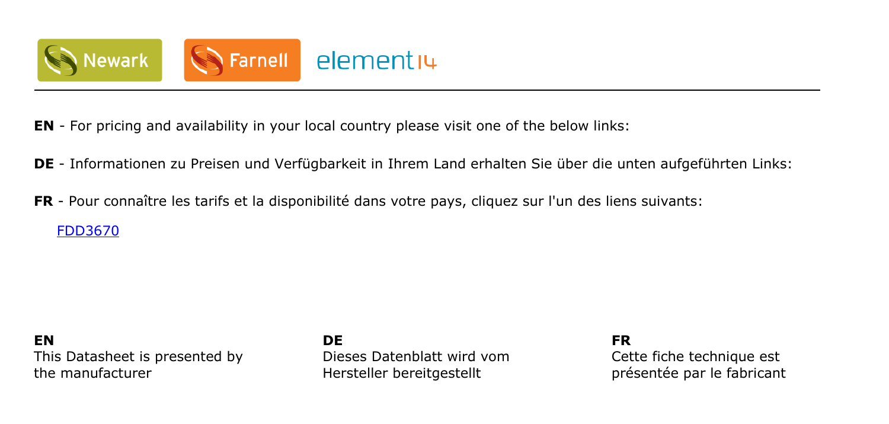

- **EN** For pricing and availability in your local country please visit one of the below links:
- **DE** Informationen zu Preisen und Verfügbarkeit in Ihrem Land erhalten Sie über die unten aufgeführten Links:
- **FR** Pour connaître les tarifs et la disponibilité dans votre pays, cliquez sur l'un des liens suivants:

[FDD3670](http://www.farnell.com/grh/?mpn=FDD3670 ON SEMICONDUCTOR&CMP=os_pdf-datasheet)

### **EN** This Datasheet is presented by the manufacturer

**DE** Dieses Datenblatt wird vom Hersteller bereitgestellt

**FR** Cette fiche technique est présentée par le fabricant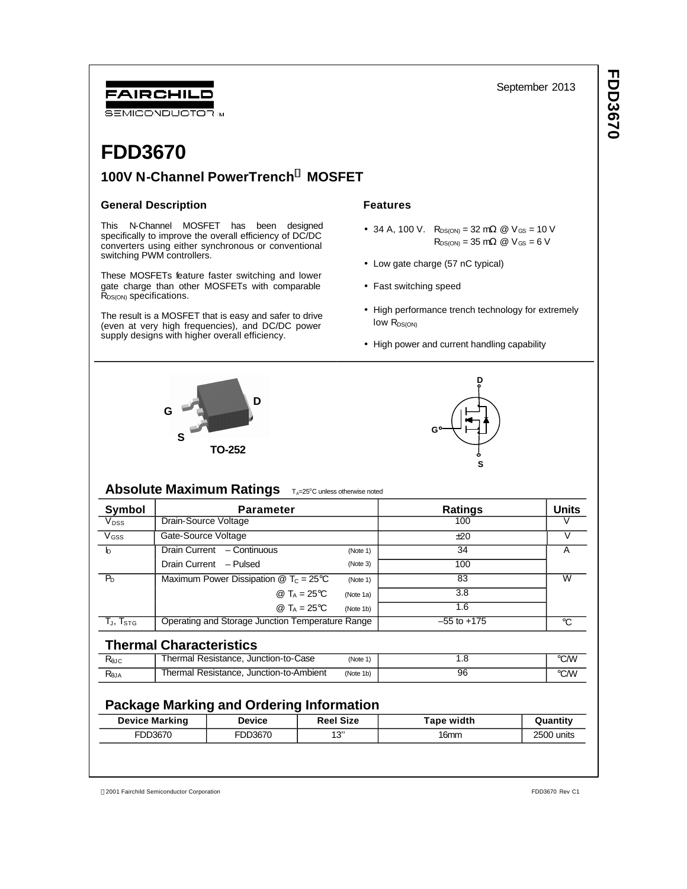## FAIRCHILD SEMICONDUCTOR IM

## **100V N-Channel PowerTrench<sup>Ò</sup> MOSFET**

## **General Description**

**FDD3670**

This N-Channel MOSFET has been designed specifically to improve the overall efficiency of DC/DC converters using either synchronous or conventional switching PWM controllers.

These MOSFETs feature faster switching and lower gate charge than other MOSFETs with comparable  $\bar{R}_{DS(ON)}$  specifications.

The result is a MOSFET that is easy and safer to drive (even at very high frequencies), and DC/DC power supply designs with higher overall efficiency.

## **Features**

- 34 A, 100 V.  $R_{DS(ON)} = 32 \text{ m}\Omega \text{ } \textcircled{2}$  V<sub>GS</sub> = 10 V  $R_{DS(ON)} = 35 \text{ m}\Omega \text{ @ } V_{GS} = 6 \text{ V}$
- Low gate charge (57 nC typical)
- Fast switching speed
- High performance trench technology for extremely low R<sub>DS(ON)</sub>
- High power and current handling capability





## **Absolute Maximum Ratings TA=25°C unless otherwise noted**

| Symbol                                               | <b>Parameter</b>                                                               |           | <b>Ratings</b>  | <b>Units</b> |  |
|------------------------------------------------------|--------------------------------------------------------------------------------|-----------|-----------------|--------------|--|
| V <sub>DSS</sub>                                     | Drain-Source Voltage                                                           |           | 100             |              |  |
| $V$ <sub>GSS</sub>                                   | Gate-Source Voltage                                                            |           | ±20             |              |  |
| b                                                    | Drain Current - Continuous                                                     | (Note 1)  | 34              |              |  |
|                                                      | Drain Current - Pulsed                                                         | (Note 3)  | 100             |              |  |
| $P_{D}$                                              | Maximum Power Dissipation $\textcircled{2}$ T <sub>c</sub> = 25 <sup>o</sup> C | (Note 1)  | 83              | W            |  |
|                                                      | @ T <sub>A</sub> = 25 °C                                                       | (Note 1a) | 3.8             |              |  |
|                                                      | @ $T_A = 25^{\circ}C$                                                          | (Note 1b) | 1.6             |              |  |
| $\mathsf{T}_\mathsf{J},\, \mathsf{T}_{\mathsf{STG}}$ | Operating and Storage Junction Temperature Range                               |           | $-55$ to $+175$ | °C           |  |

## **Thermal Characteristics**

| <b>Rejc</b> | Thermal Resistance, Junction-to-Case    | (Note 1)  | ں. | ℃⁄W  |
|-------------|-----------------------------------------|-----------|----|------|
| ≺θJA        | Thermal Resistance, Junction-to-Ambient | (Note 1b) | 96 | °C/W |

## **Package Marking and Ordering Information**

| <b>Device Marking</b> | <b>Device</b> | <b>Reel Size</b> | <b>Tape width</b> | Quantity   |
|-----------------------|---------------|------------------|-------------------|------------|
| FDD3670               | FDD3670       | 1 2"             | 16mm              | 2500 units |
|                       |               |                  |                   |            |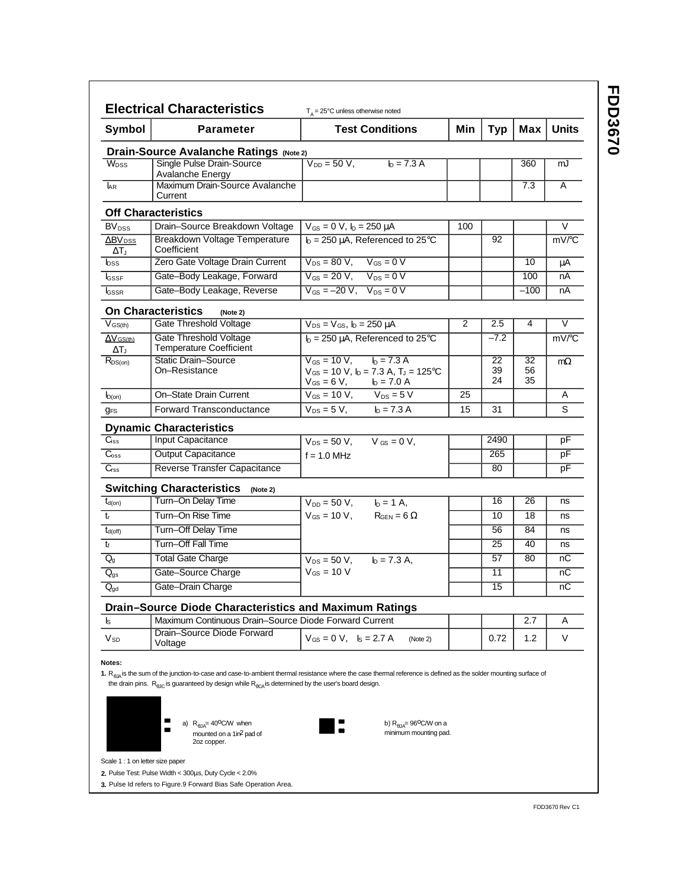**FDD3670 FDD3670**

| Symbol                       | <b>Parameter</b>                                                                                                                                                                                                                                                                                         | <b>Test Conditions</b>                                                              | Min | <b>Typ</b> | Max      | <b>Units</b>        |
|------------------------------|----------------------------------------------------------------------------------------------------------------------------------------------------------------------------------------------------------------------------------------------------------------------------------------------------------|-------------------------------------------------------------------------------------|-----|------------|----------|---------------------|
|                              | <b>Drain-Source Avalanche Ratings (Note 2)</b>                                                                                                                                                                                                                                                           |                                                                                     |     |            |          |                     |
| W <sub>DSS</sub>             | Single Pulse Drain-Source                                                                                                                                                                                                                                                                                | $V_{DD} = 50 V$ ,<br>$h = 7.3 A$                                                    |     |            | 360      | mJ                  |
|                              | <b>Avalanche Energy</b>                                                                                                                                                                                                                                                                                  |                                                                                     |     |            |          |                     |
| <b>AR</b>                    | Maximum Drain-Source Avalanche<br>Current                                                                                                                                                                                                                                                                |                                                                                     |     |            | 7.3      | A                   |
|                              | <b>Off Characteristics</b>                                                                                                                                                                                                                                                                               |                                                                                     |     |            |          |                     |
| <b>BV</b> <sub>DSS</sub>     | Drain-Source Breakdown Voltage                                                                                                                                                                                                                                                                           | $V_{GS} = 0 V$ , $I_D = 250 \mu A$                                                  | 100 |            |          | V                   |
| $\Delta$ BV <sub>DSS</sub>   | Breakdown Voltage Temperature                                                                                                                                                                                                                                                                            | $I_D = 250 \mu A$ , Referenced to 25°C                                              |     | 92         |          | mV/°C               |
| $\Delta T_{\rm J}$           | Coefficient                                                                                                                                                                                                                                                                                              |                                                                                     |     |            |          |                     |
| $_{\text{DSS}}$              | Zero Gate Voltage Drain Current                                                                                                                                                                                                                                                                          | $V_{DS} = 80 V$ , $V_{GS} = 0 V$                                                    |     |            | 10       | μA                  |
| <b>I</b> GSSF                | Gate-Body Leakage, Forward                                                                                                                                                                                                                                                                               | $V_{GS} = 20 V$ , $V_{DS} = 0 V$                                                    |     |            | 100      | nA                  |
| <b>I</b> GSSR                | Gate-Body Leakage, Reverse                                                                                                                                                                                                                                                                               | $V_{GS} = -20 V$ , $V_{DS} = 0 V$                                                   |     |            | $-100$   | nA                  |
|                              | <b>On Characteristics</b><br>(Note 2)                                                                                                                                                                                                                                                                    |                                                                                     |     |            |          |                     |
| $V_{GS(th)}$                 | Gate Threshold Voltage                                                                                                                                                                                                                                                                                   | $V_{DS} = V_{GS}$ , $I_D = 250 \mu A$                                               | 2   | 2.5        | 4        | V                   |
| $\overline{\Delta V}$ GS(th) | Gate Threshold Voltage                                                                                                                                                                                                                                                                                   | $I_D = 250 \mu A$ , Referenced to 25°C                                              |     | $-7.2$     |          | $mV$ <sup>c</sup> C |
| ΔTյ                          | <b>Temperature Coefficient</b>                                                                                                                                                                                                                                                                           |                                                                                     |     |            |          |                     |
| $R_{DS(on)}$                 | Static Drain-Source<br>On-Resistance                                                                                                                                                                                                                                                                     | $I_D = 7.3 A$<br>$V_{GS} = 10 V,$<br>$V_{GS}$ = 10 V, $I_D$ = 7.3 A, $T_J$ = 125 °C |     | 22<br>39   | 32<br>56 | $m\Omega$           |
|                              |                                                                                                                                                                                                                                                                                                          | $V_{GS} = 6 V,$ $I_D = 7.0 A$                                                       |     | 24         | 35       |                     |
| $I_{D(on)}$                  | On-State Drain Current                                                                                                                                                                                                                                                                                   | $V_{GS} = 10 V,$ $V_{DS} = 5 V$                                                     | 25  |            |          | Α                   |
| <b>g<sub>FS</sub></b>        | <b>Forward Transconductance</b>                                                                                                                                                                                                                                                                          | $V_{DS} = 5 V$ ,<br>$h = 7.3 A$                                                     | 15  | 31         |          | S                   |
|                              | <b>Dynamic Characteristics</b>                                                                                                                                                                                                                                                                           |                                                                                     |     |            |          |                     |
| $C_{iss}$                    | Input Capacitance                                                                                                                                                                                                                                                                                        | $V_{DS} = 50 V$ , $V_{GS} = 0 V$ ,                                                  |     | 2490       |          | рF                  |
| $C_{\rm oss}$                | <b>Output Capacitance</b>                                                                                                                                                                                                                                                                                | $f = 1.0$ MHz                                                                       |     | 265        |          | рF                  |
| $C_{\text{rss}}$             | Reverse Transfer Capacitance                                                                                                                                                                                                                                                                             |                                                                                     |     | 80         |          | рF                  |
|                              | <b>Switching Characteristics</b><br>(Note 2)                                                                                                                                                                                                                                                             |                                                                                     |     |            |          |                     |
| $t_{d(on)}$                  | Turn-On Delay Time                                                                                                                                                                                                                                                                                       | $V_{DD} = 50 V,$<br>$I_D = 1$ A,                                                    |     | 16         | 26       | ns                  |
| $t_{r}$                      | Turn-On Rise Time                                                                                                                                                                                                                                                                                        | $V_{GS} = 10 V,$<br>$R_{\text{GEN}} = 6 \Omega$                                     |     | 10         | 18       | ns                  |
| $t_{d(off)}$                 | Turn-Off Delay Time                                                                                                                                                                                                                                                                                      |                                                                                     |     | 56         | 84       | ns                  |
| $t_{\rm f}$                  | Turn-Off Fall Time                                                                                                                                                                                                                                                                                       |                                                                                     |     | 25         | 40       | ns                  |
| $Q_q$                        | <b>Total Gate Charge</b>                                                                                                                                                                                                                                                                                 | $V_{DS} = 50 V$ ,<br>$I_D = 7.3 A$ ,                                                |     | 57         | 80       | nС                  |
| $Q_{gs}$                     | Gate-Source Charge                                                                                                                                                                                                                                                                                       | $V$ <sub>GS</sub> = 10 V                                                            |     | 11         |          | пC                  |
| $Q_{\text{gd}}$              | Gate-Drain Charge                                                                                                                                                                                                                                                                                        |                                                                                     |     | 15         |          | nС                  |
|                              |                                                                                                                                                                                                                                                                                                          |                                                                                     |     |            |          |                     |
| ls                           | Drain-Source Diode Characteristics and Maximum Ratings<br>Maximum Continuous Drain-Source Diode Forward Current                                                                                                                                                                                          |                                                                                     |     |            | 2.7      | Α                   |
|                              | Drain-Source Diode Forward                                                                                                                                                                                                                                                                               |                                                                                     |     |            |          |                     |
| $V_{SD}$                     | Voltage                                                                                                                                                                                                                                                                                                  | $V_{GS} = 0$ V, $I_S = 2.7$ A<br>(Note 2)                                           |     | 0.72       | 1.2      | V                   |
| Notes:                       | 1. $R_{\rm fith}$ is the sum of the junction-to-case and case-to-ambient thermal resistance where the case thermal reference is defined as the solder mounting surface of<br>the drain pins. $R_{\text{a,IC}}$ is guaranteed by design while $R_{\text{a,CA}}$ is determined by the user's board design. |                                                                                     |     |            |          |                     |

Scale 1 : 1 on letter size paper

Pulse Test: Pulse Width < 300μs, Duty Cycle < 2.0% **2.**

**3.** Pulse Id refers to Figure.9 Forward Bias Safe Operation Area.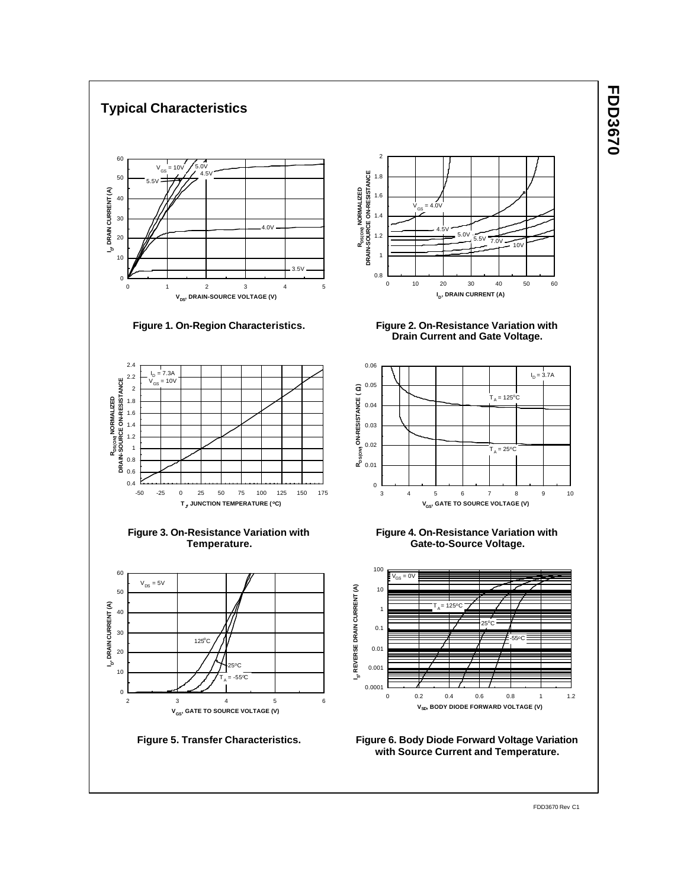

# **FDD3670 FDD3670**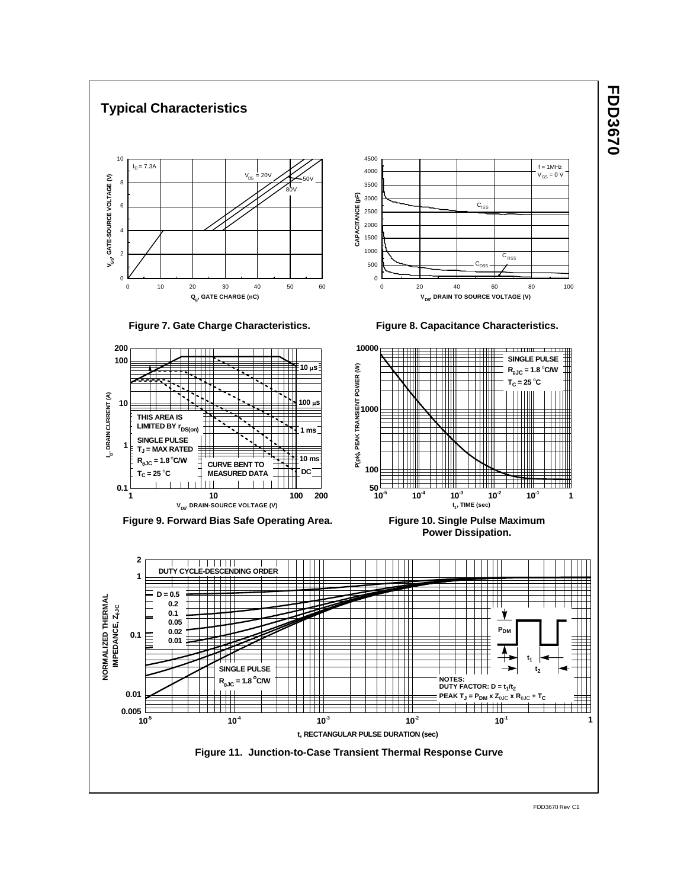

# **FDD3670 FDD3670**

FDD3670 Rev C1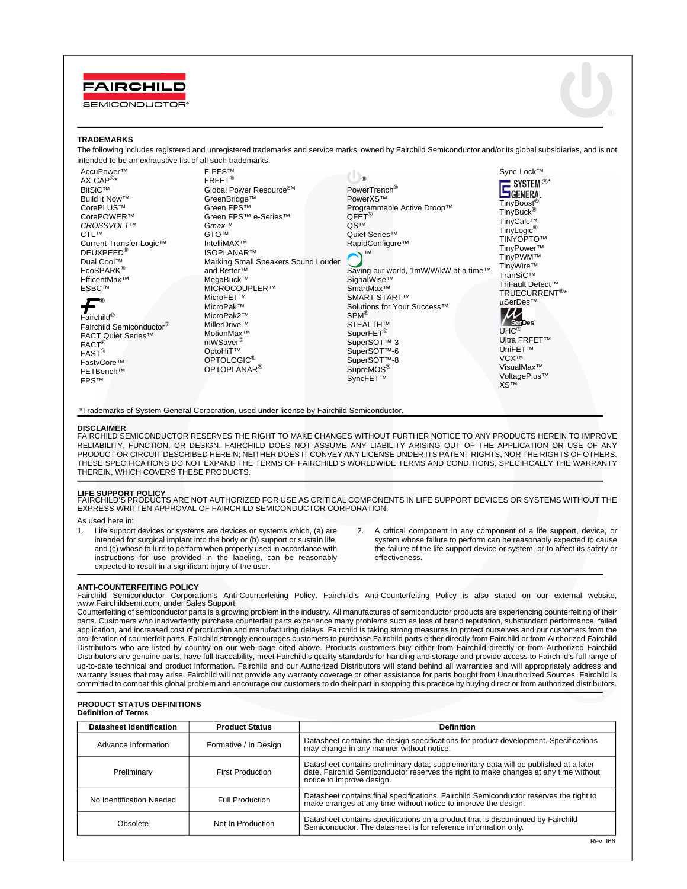



### **TRADEMARKS**

The following includes registered and unregistered trademarks and service marks, owned by Fairchild Semiconductor and/or its global subsidiaries, and is not intended to be an exhaustive list of all such trademarks.

AccuPower™ AX-CAP®\* BitSiC™ Build it Now™ CorePLUS™ CorePOWER™ *CROSSVOLT*™ CTL™ Current Transfer Logic™ DEUXPEED® Dual Cool™ EcoSPARK® EfficentMax™ ESBC™

Fairchild® Fairchild Semiconductor® FACT Quiet Series™ FACT® FAST® FastvCore™ FETBench™ FPS™ ®

FRFET® Global Power ResourceSM GreenBridge™ Green FPS™ Green FPS™ e-Series™ G*max*™ GTO™ IntelliMAX™ ISOPLANAR™ Marking Small Speakers Sound Louder and Better™ MegaBuck™ MICROCOUPLER™ MicroFET™ MicroPak™ MicroPak2™ MillerDrive™ MotionMax™ mWSaver® OptoHiT™ OPTOLOGIC<sup>®</sup> OPTOPLANAR®

F-PFS™

PowerTrench® PowerXS™ Programmable Active Droop™ QFET® QS™ Quiet Series™ RapidConfigure™ Saving our world, 1mW/W/kW at a time™ SignalWise™ SmartMax™ SMART START™ Solutions for Your Success<sup>™</sup> SPM® STEALTH™ SuperFET® SuperSOT™-3 SuperSOT™-6 SuperSOT™-8 SupreMOS® SyncFET™ ™ tm ®

Sync-Lock™ SYSTEM<sup>®\*</sup><br>GENERAL TinyBoost<sup>®</sup><br>TinyBuck<sup>®</sup> TinyCalc™ TinyLogic® TINYOPTO™ TinyPower™ TinyPWM™ TinyWire™ TranSiC™ TriFault Detect™ TRUECURRENT®\* μSerDes™



UniFET™ VCX™ VisualMax™ VoltagePlus™ XS™

\*Trademarks of System General Corporation, used under license by Fairchild Semiconductor.

### **DISCLAIMER**

FAIRCHILD SEMICONDUCTOR RESERVES THE RIGHT TO MAKE CHANGES WITHOUT FURTHER NOTICE TO ANY PRODUCTS HEREIN TO IMPROVE<br>RELIABILITY, FUNCTION, OR DESIGN. FAIRCHILD DOES NOT ASSUME ANY LIABILITY ARISING OUT OF THE APPLICATION O PRODUCT OR CIRCUIT DESCRIBED HEREIN; NEITHER DOES IT CONVEY ANY LICENSE UNDER ITS PATENT RIGHTS, NOR THE RIGHTS OF OTHERS. THESE SPECIFICATIONS DO NOT EXPAND THE TERMS OF FAIRCHILD'S WORLDWIDE TERMS AND CONDITIONS, SPECIFICALLY THE WARRANTY THEREIN, WHICH COVERS THESE PRODUCTS.

**LIFE SUPPORT POLICY**<br>FAIRCHILD'S PRODUCTS ARE NOT AUTHORIZED FOR USE AS CRITICAL COMPONENTS IN LIFE SUPPORT DEVICES OR SYSTEMS WITHOUT THE<br>EXPRESS WRITTEN APPROVAL OF FAIRCHILD SEMICONDUCTOR CORPORATION.

As used here in:

- 1. Life support devices or systems are devices or systems which, (a) are intended for surgical implant into the body or (b) support or sustain life, and (c) whose failure to perform when properly used in accordance with instructions for use provided in the labeling, can be reasonably expected to result in a significant injury of the user.
- 2. A critical component in any component of a life support, device, or system whose failure to perform can be reasonably expected to cause the failure of the life support device or system, or to affect its safety or effectiveness.

### **ANTI-COUNTERFEITING POLICY**

Fairchild Semiconductor Corporation's Anti-Counterfeiting Policy. Fairchild's Anti-Counterfeiting Policy is also stated on our external website, www.Fairchildsemi.com, under Sales Support.

Counterfeiting of semiconductor parts is a growing problem in the industry. All manufactures of semiconductor products are experiencing counterfeiting of their parts. Customers who inadvertently purchase counterfeit parts experience many problems such as loss of brand reputation, substandard performance, failed application, and increased cost of production and manufacturing delays. Fairchild is taking strong measures to protect ourselves and our customers from the proliferation of counterfeit parts. Fairchild strongly encourages customers to purchase Fairchild parts either directly from Fairchild or from Authorized Fairchild Distributors who are listed by country on our web page cited above. Products customers buy either from Fairchild directly or from Authorized Fairchild Distributors are genuine parts, have full traceability, meet Fairchild's quality standards for handing and storage and provide access to Fairchild's full range of up-to-date technical and product information. Fairchild and our Authorized Distributors will stand behind all warranties and will appropriately address and warranty issues that may arise. Fairchild will not provide any warranty coverage or other assistance for parts bought from Unauthorized Sources. Fairchild is committed to combat this global problem and encourage our customers to do their part in stopping this practice by buying direct or from authorized distributors.

#### **PRODUCT STATUS DEFINITIONS Definition of Terms**

| Datasheet Identification | <b>Product Status</b>   | <b>Definition</b>                                                                                                                                                                                      |
|--------------------------|-------------------------|--------------------------------------------------------------------------------------------------------------------------------------------------------------------------------------------------------|
| Advance Information      | Formative / In Design   | Datasheet contains the design specifications for product development. Specifications<br>may change in any manner without notice.                                                                       |
| Preliminary              | <b>First Production</b> | Datasheet contains preliminary data; supplementary data will be published at a later date. Fairchild Semiconductor reserves the right to make changes at any time without<br>notice to improve design. |
| No Identification Needed | <b>Full Production</b>  | Datasheet contains final specifications. Fairchild Semiconductor reserves the right to<br>make changes at any time without notice to improve the design.                                               |
| Obsolete                 | Not In Production       | Datasheet contains specifications on a product that is discontinued by Fairchild Semiconductor. The datasheet is for reference information only.                                                       |